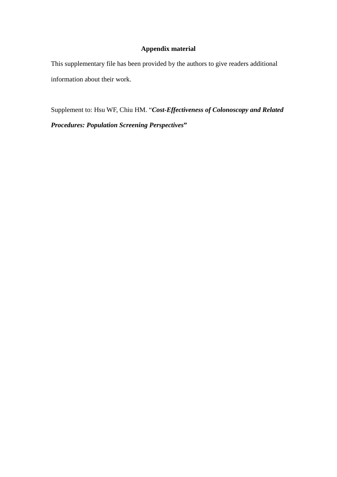## **Appendix material**

This supplementary file has been provided by the authors to give readers additional information about their work.

Supplement to: Hsu WF, Chiu HM. "*Cost-Effectiveness of Colonoscopy and Related Procedures: Population Screening Perspectives***"**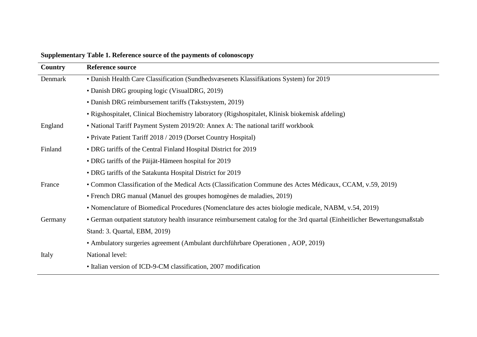| Country | <b>Reference source</b>                                                                                                   |
|---------|---------------------------------------------------------------------------------------------------------------------------|
| Denmark | • Danish Health Care Classification (Sundhedsvæsenets Klassifikations System) for 2019                                    |
|         | • Danish DRG grouping logic (VisualDRG, 2019)                                                                             |
|         | • Danish DRG reimbursement tariffs (Takstsystem, 2019)                                                                    |
|         | • Rigshospitalet, Clinical Biochemistry laboratory (Rigshospitalet, Klinisk biokemisk afdeling)                           |
| England | • National Tariff Payment System 2019/20: Annex A: The national tariff workbook                                           |
|         | • Private Patient Tariff 2018 / 2019 (Dorset Country Hospital)                                                            |
| Finland | • DRG tariffs of the Central Finland Hospital District for 2019                                                           |
|         | • DRG tariffs of the Päijät-Hämeen hospital for 2019                                                                      |
|         | • DRG tariffs of the Satakunta Hospital District for 2019                                                                 |
| France  | • Common Classification of the Medical Acts (Classification Commune des Actes Médicaux, CCAM, v.59, 2019)                 |
|         | • French DRG manual (Manuel des groupes homogènes de maladies, 2019)                                                      |
|         | • Nomenclature of Biomedical Procedures (Nomenclature des actes biologie medicale, NABM, v.54, 2019)                      |
| Germany | • German outpatient statutory health insurance reimbursement catalog for the 3rd quartal (Einheitlicher Bewertungsmaßstab |
|         | Stand: 3. Quartal, EBM, 2019)                                                                                             |
|         | • Ambulatory surgeries agreement (Ambulant durchführbare Operationen, AOP, 2019)                                          |
| Italy   | National level:                                                                                                           |
|         | • Italian version of ICD-9-CM classification, 2007 modification                                                           |

**Supplementary Table 1. Reference source of the payments of colonoscopy**